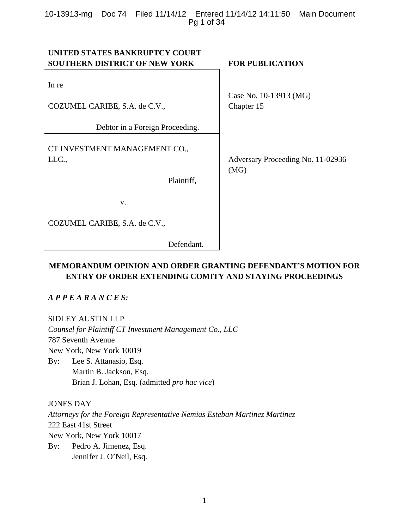# 10-13913-mg Doc 74 Filed 11/14/12 Entered 11/14/12 14:11:50 Main Document Pg 1 of 34

| UNITED STATES BANKRUPTCY COURT       |                                   |
|--------------------------------------|-----------------------------------|
| <b>SOUTHERN DISTRICT OF NEW YORK</b> | <b>FOR PUBLICATION</b>            |
|                                      |                                   |
| In re                                |                                   |
|                                      | Case No. 10-13913 (MG)            |
| COZUMEL CARIBE, S.A. de C.V.,        | Chapter 15                        |
|                                      |                                   |
| Debtor in a Foreign Proceeding.      |                                   |
|                                      |                                   |
| CT INVESTMENT MANAGEMENT CO.,        |                                   |
| LLC.,                                | Adversary Proceeding No. 11-02936 |
|                                      | (MG)                              |
| Plaintiff,                           |                                   |
|                                      |                                   |
| V.                                   |                                   |
|                                      |                                   |
| COZUMEL CARIBE, S.A. de C.V.,        |                                   |
| Defendant.                           |                                   |

# **MEMORANDUM OPINION AND ORDER GRANTING DEFENDANT'S MOTION FOR ENTRY OF ORDER EXTENDING COMITY AND STAYING PROCEEDINGS**

*A P P E A R A N C E S:* 

SIDLEY AUSTIN LLP

*Counsel for Plaintiff CT Investment Management Co., LLC* 787 Seventh Avenue New York, New York 10019 By: Lee S. Attanasio, Esq. Martin B. Jackson, Esq. Brian J. Lohan, Esq. (admitted *pro hac vice*)

JONES DAY

*Attorneys for the Foreign Representative Nemias Esteban Martinez Martinez*  222 East 41st Street New York, New York 10017

By: Pedro A. Jimenez, Esq. Jennifer J. O'Neil, Esq.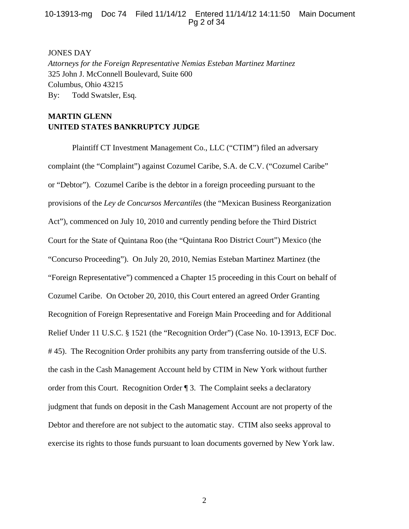# 10-13913-mg Doc 74 Filed 11/14/12 Entered 11/14/12 14:11:50 Main Document Pg 2 of 34

#### JONES DAY

*Attorneys for the Foreign Representative Nemias Esteban Martinez Martinez*  325 John J. McConnell Boulevard, Suite 600 Columbus, Ohio 43215 By: Todd Swatsler, Esq.

# **MARTIN GLENN UNITED STATES BANKRUPTCY JUDGE**

Plaintiff CT Investment Management Co., LLC ("CTIM") filed an adversary complaint (the "Complaint") against Cozumel Caribe, S.A. de C.V. ("Cozumel Caribe" or "Debtor"). Cozumel Caribe is the debtor in a foreign proceeding pursuant to the provisions of the *Ley de Concursos Mercantiles* (the "Mexican Business Reorganization Act"), commenced on July 10, 2010 and currently pending before the Third District Court for the State of Quintana Roo (the "Quintana Roo District Court") Mexico (the "Concurso Proceeding"). On July 20, 2010, Nemias Esteban Martinez Martinez (the "Foreign Representative") commenced a Chapter 15 proceeding in this Court on behalf of Cozumel Caribe. On October 20, 2010, this Court entered an agreed Order Granting Recognition of Foreign Representative and Foreign Main Proceeding and for Additional Relief Under 11 U.S.C. § 1521 (the "Recognition Order") (Case No. 10-13913, ECF Doc. # 45). The Recognition Order prohibits any party from transferring outside of the U.S. the cash in the Cash Management Account held by CTIM in New York without further order from this Court. Recognition Order ¶ 3. The Complaint seeks a declaratory judgment that funds on deposit in the Cash Management Account are not property of the Debtor and therefore are not subject to the automatic stay. CTIM also seeks approval to exercise its rights to those funds pursuant to loan documents governed by New York law.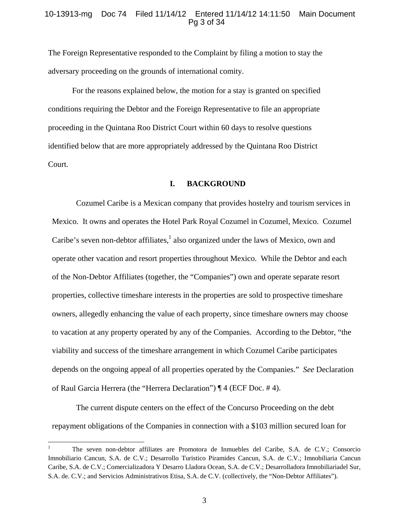## 10-13913-mg Doc 74 Filed 11/14/12 Entered 11/14/12 14:11:50 Main Document Pg 3 of 34

The Foreign Representative responded to the Complaint by filing a motion to stay the adversary proceeding on the grounds of international comity.

For the reasons explained below, the motion for a stay is granted on specified conditions requiring the Debtor and the Foreign Representative to file an appropriate proceeding in the Quintana Roo District Court within 60 days to resolve questions identified below that are more appropriately addressed by the Quintana Roo District Court.

# **I. BACKGROUND**

Cozumel Caribe is a Mexican company that provides hostelry and tourism services in Mexico. It owns and operates the Hotel Park Royal Cozumel in Cozumel, Mexico. Cozumel Caribe's seven non-debtor affiliates, $<sup>1</sup>$  also organized under the laws of Mexico, own and</sup> operate other vacation and resort properties throughout Mexico. While the Debtor and each of the Non-Debtor Affiliates (together, the "Companies") own and operate separate resort properties, collective timeshare interests in the properties are sold to prospective timeshare owners, allegedly enhancing the value of each property, since timeshare owners may choose to vacation at any property operated by any of the Companies. According to the Debtor, "the viability and success of the timeshare arrangement in which Cozumel Caribe participates depends on the ongoing appeal of all properties operated by the Companies." *See* Declaration of Raul Garcia Herrera (the "Herrera Declaration") ¶ 4 (ECF Doc. # 4).

The current dispute centers on the effect of the Concurso Proceeding on the debt repayment obligations of the Companies in connection with a \$103 million secured loan for

<sup>1</sup> The seven non-debtor affiliates are Promotora de Inmuebles del Caribe, S.A. de C.V.; Consorcio Imnobiliario Cancun, S.A. de C.V.; Desarrollo Turistico Piramides Cancun, S.A. de C.V.; Imnobiliaria Cancun Caribe, S.A. de C.V.; Comercializadora Y Desarro Lladora Ocean, S.A. de C.V.; Desarrolladora Imnobiliariadel Sur, S.A. de. C.V.; and Servicios Administrativos Etisa, S.A. de C.V. (collectively, the "Non-Debtor Affiliates").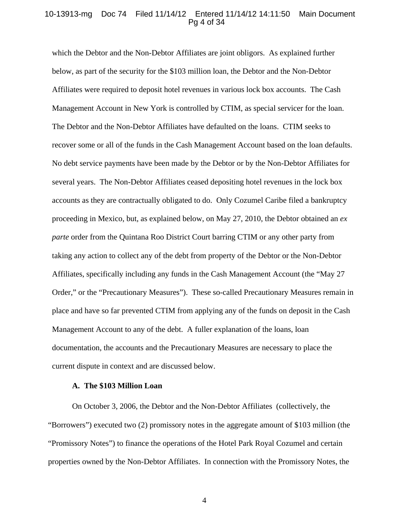#### 10-13913-mg Doc 74 Filed 11/14/12 Entered 11/14/12 14:11:50 Main Document Pg 4 of 34

which the Debtor and the Non-Debtor Affiliates are joint obligors. As explained further below, as part of the security for the \$103 million loan, the Debtor and the Non-Debtor Affiliates were required to deposit hotel revenues in various lock box accounts. The Cash Management Account in New York is controlled by CTIM, as special servicer for the loan. The Debtor and the Non-Debtor Affiliates have defaulted on the loans. CTIM seeks to recover some or all of the funds in the Cash Management Account based on the loan defaults. No debt service payments have been made by the Debtor or by the Non-Debtor Affiliates for several years. The Non-Debtor Affiliates ceased depositing hotel revenues in the lock box accounts as they are contractually obligated to do. Only Cozumel Caribe filed a bankruptcy proceeding in Mexico, but, as explained below, on May 27, 2010, the Debtor obtained an *ex parte* order from the Quintana Roo District Court barring CTIM or any other party from taking any action to collect any of the debt from property of the Debtor or the Non-Debtor Affiliates, specifically including any funds in the Cash Management Account (the "May 27 Order," or the "Precautionary Measures"). These so-called Precautionary Measures remain in place and have so far prevented CTIM from applying any of the funds on deposit in the Cash Management Account to any of the debt. A fuller explanation of the loans, loan documentation, the accounts and the Precautionary Measures are necessary to place the current dispute in context and are discussed below.

# **A. The \$103 Million Loan**

On October 3, 2006, the Debtor and the Non-Debtor Affiliates (collectively, the "Borrowers") executed two (2) promissory notes in the aggregate amount of \$103 million (the "Promissory Notes") to finance the operations of the Hotel Park Royal Cozumel and certain properties owned by the Non-Debtor Affiliates. In connection with the Promissory Notes, the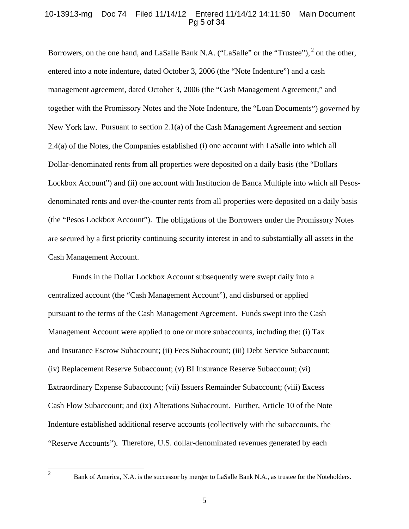# 10-13913-mg Doc 74 Filed 11/14/12 Entered 11/14/12 14:11:50 Main Document Pg 5 of 34

Borrowers, on the one hand, and LaSalle Bank N.A. ("LaSalle" or the "Trustee"), <sup>2</sup> on the other, entered into a note indenture, dated October 3, 2006 (the "Note Indenture") and a cash management agreement, dated October 3, 2006 (the "Cash Management Agreement," and together with the Promissory Notes and the Note Indenture, the "Loan Documents") governed by New York law. Pursuant to section 2.1(a) of the Cash Management Agreement and section 2.4(a) of the Notes, the Companies established (i) one account with LaSalle into which all Dollar-denominated rents from all properties were deposited on a daily basis (the "Dollars Lockbox Account") and (ii) one account with Institucion de Banca Multiple into which all Pesosdenominated rents and over-the-counter rents from all properties were deposited on a daily basis (the "Pesos Lockbox Account"). The obligations of the Borrowers under the Promissory Notes are secured by a first priority continuing security interest in and to substantially all assets in the Cash Management Account.

Funds in the Dollar Lockbox Account subsequently were swept daily into a centralized account (the "Cash Management Account"), and disbursed or applied pursuant to the terms of the Cash Management Agreement. Funds swept into the Cash Management Account were applied to one or more subaccounts, including the: (i) Tax and Insurance Escrow Subaccount; (ii) Fees Subaccount; (iii) Debt Service Subaccount; (iv) Replacement Reserve Subaccount; (v) BI Insurance Reserve Subaccount; (vi) Extraordinary Expense Subaccount; (vii) Issuers Remainder Subaccount; (viii) Excess Cash Flow Subaccount; and (ix) Alterations Subaccount. Further, Article 10 of the Note Indenture established additional reserve accounts (collectively with the subaccounts, the "Reserve Accounts"). Therefore, U.S. dollar-denominated revenues generated by each

Bank of America, N.A. is the successor by merger to LaSalle Bank N.A., as trustee for the Noteholders.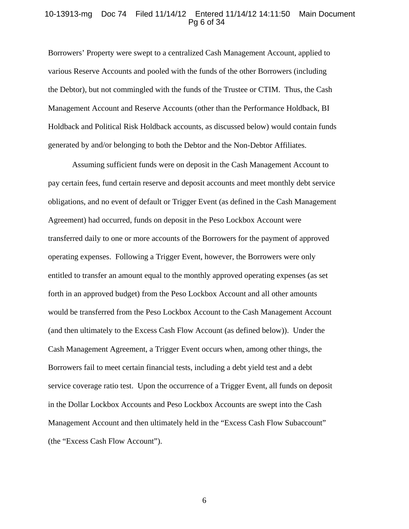#### 10-13913-mg Doc 74 Filed 11/14/12 Entered 11/14/12 14:11:50 Main Document Pg 6 of 34

Borrowers' Property were swept to a centralized Cash Management Account, applied to various Reserve Accounts and pooled with the funds of the other Borrowers (including the Debtor), but not commingled with the funds of the Trustee or CTIM. Thus, the Cash Management Account and Reserve Accounts (other than the Performance Holdback, BI Holdback and Political Risk Holdback accounts, as discussed below) would contain funds generated by and/or belonging to both the Debtor and the Non-Debtor Affiliates.

Assuming sufficient funds were on deposit in the Cash Management Account to pay certain fees, fund certain reserve and deposit accounts and meet monthly debt service obligations, and no event of default or Trigger Event (as defined in the Cash Management Agreement) had occurred, funds on deposit in the Peso Lockbox Account were transferred daily to one or more accounts of the Borrowers for the payment of approved operating expenses. Following a Trigger Event, however, the Borrowers were only entitled to transfer an amount equal to the monthly approved operating expenses (as set forth in an approved budget) from the Peso Lockbox Account and all other amounts would be transferred from the Peso Lockbox Account to the Cash Management Account (and then ultimately to the Excess Cash Flow Account (as defined below)). Under the Cash Management Agreement, a Trigger Event occurs when, among other things, the Borrowers fail to meet certain financial tests, including a debt yield test and a debt service coverage ratio test. Upon the occurrence of a Trigger Event, all funds on deposit in the Dollar Lockbox Accounts and Peso Lockbox Accounts are swept into the Cash Management Account and then ultimately held in the "Excess Cash Flow Subaccount" (the "Excess Cash Flow Account").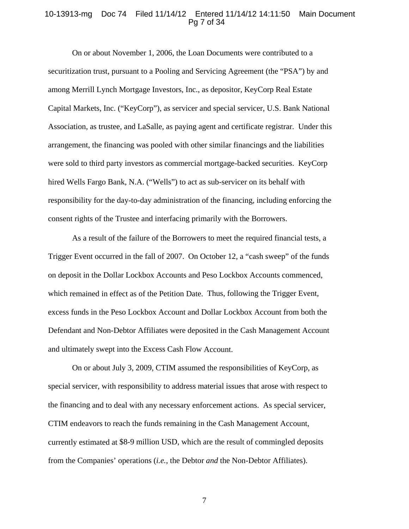#### 10-13913-mg Doc 74 Filed 11/14/12 Entered 11/14/12 14:11:50 Main Document Pg 7 of 34

On or about November 1, 2006, the Loan Documents were contributed to a securitization trust, pursuant to a Pooling and Servicing Agreement (the "PSA") by and among Merrill Lynch Mortgage Investors, Inc., as depositor, KeyCorp Real Estate Capital Markets, Inc. ("KeyCorp"), as servicer and special servicer, U.S. Bank National Association, as trustee, and LaSalle, as paying agent and certificate registrar. Under this arrangement, the financing was pooled with other similar financings and the liabilities were sold to third party investors as commercial mortgage-backed securities. KeyCorp hired Wells Fargo Bank, N.A. ("Wells") to act as sub-servicer on its behalf with responsibility for the day-to-day administration of the financing, including enforcing the consent rights of the Trustee and interfacing primarily with the Borrowers.

As a result of the failure of the Borrowers to meet the required financial tests, a Trigger Event occurred in the fall of 2007. On October 12, a "cash sweep" of the funds on deposit in the Dollar Lockbox Accounts and Peso Lockbox Accounts commenced, which remained in effect as of the Petition Date. Thus, following the Trigger Event, excess funds in the Peso Lockbox Account and Dollar Lockbox Account from both the Defendant and Non-Debtor Affiliates were deposited in the Cash Management Account and ultimately swept into the Excess Cash Flow Account.

On or about July 3, 2009, CTIM assumed the responsibilities of KeyCorp, as special servicer, with responsibility to address material issues that arose with respect to the financing and to deal with any necessary enforcement actions. As special servicer, CTIM endeavors to reach the funds remaining in the Cash Management Account, currently estimated at \$8-9 million USD, which are the result of commingled deposits from the Companies' operations (*i.e.*, the Debtor *and* the Non-Debtor Affiliates).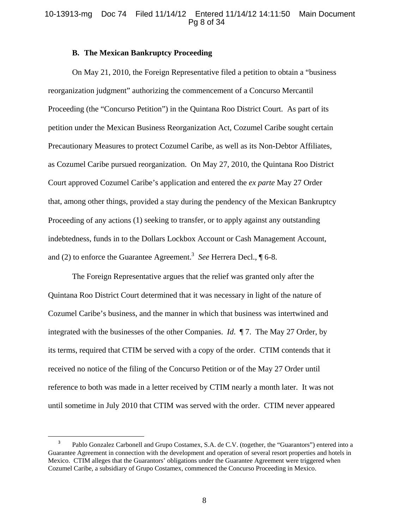# 10-13913-mg Doc 74 Filed 11/14/12 Entered 11/14/12 14:11:50 Main Document Pg 8 of 34

#### **B. The Mexican Bankruptcy Proceeding**

On May 21, 2010, the Foreign Representative filed a petition to obtain a "business reorganization judgment" authorizing the commencement of a Concurso Mercantil Proceeding (the "Concurso Petition") in the Quintana Roo District Court. As part of its petition under the Mexican Business Reorganization Act, Cozumel Caribe sought certain Precautionary Measures to protect Cozumel Caribe, as well as its Non-Debtor Affiliates, as Cozumel Caribe pursued reorganization. On May 27, 2010, the Quintana Roo District Court approved Cozumel Caribe's application and entered the *ex parte* May 27 Order that, among other things, provided a stay during the pendency of the Mexican Bankruptcy Proceeding of any actions (1) seeking to transfer, or to apply against any outstanding indebtedness, funds in to the Dollars Lockbox Account or Cash Management Account, and (2) to enforce the Guarantee Agreement.<sup>3</sup> See Herrera Decl., 16-8.

The Foreign Representative argues that the relief was granted only after the Quintana Roo District Court determined that it was necessary in light of the nature of Cozumel Caribe's business, and the manner in which that business was intertwined and integrated with the businesses of the other Companies. *Id*. ¶ 7. The May 27 Order, by its terms, required that CTIM be served with a copy of the order. CTIM contends that it received no notice of the filing of the Concurso Petition or of the May 27 Order until reference to both was made in a letter received by CTIM nearly a month later. It was not until sometime in July 2010 that CTIM was served with the order. CTIM never appeared

<sup>3</sup> Pablo Gonzalez Carbonell and Grupo Costamex, S.A. de C.V. (together, the "Guarantors") entered into a Guarantee Agreement in connection with the development and operation of several resort properties and hotels in Mexico. CTIM alleges that the Guarantors' obligations under the Guarantee Agreement were triggered when Cozumel Caribe, a subsidiary of Grupo Costamex, commenced the Concurso Proceeding in Mexico.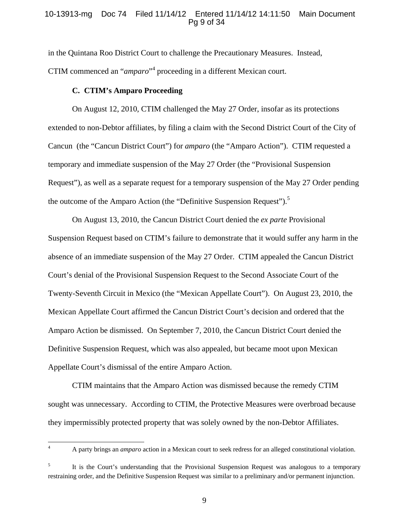# 10-13913-mg Doc 74 Filed 11/14/12 Entered 11/14/12 14:11:50 Main Document Pg 9 of 34

in the Quintana Roo District Court to challenge the Precautionary Measures. Instead, CTIM commenced an "*amparo*"<sup>4</sup> proceeding in a different Mexican court.

#### **C. CTIM's Amparo Proceeding**

On August 12, 2010, CTIM challenged the May 27 Order, insofar as its protections extended to non-Debtor affiliates, by filing a claim with the Second District Court of the City of Cancun (the "Cancun District Court") for *amparo* (the "Amparo Action"). CTIM requested a temporary and immediate suspension of the May 27 Order (the "Provisional Suspension Request"), as well as a separate request for a temporary suspension of the May 27 Order pending the outcome of the Amparo Action (the "Definitive Suspension Request").<sup>5</sup>

On August 13, 2010, the Cancun District Court denied the *ex parte* Provisional Suspension Request based on CTIM's failure to demonstrate that it would suffer any harm in the absence of an immediate suspension of the May 27 Order. CTIM appealed the Cancun District Court's denial of the Provisional Suspension Request to the Second Associate Court of the Twenty-Seventh Circuit in Mexico (the "Mexican Appellate Court"). On August 23, 2010, the Mexican Appellate Court affirmed the Cancun District Court's decision and ordered that the Amparo Action be dismissed. On September 7, 2010, the Cancun District Court denied the Definitive Suspension Request, which was also appealed, but became moot upon Mexican Appellate Court's dismissal of the entire Amparo Action.

 CTIM maintains that the Amparo Action was dismissed because the remedy CTIM sought was unnecessary. According to CTIM, the Protective Measures were overbroad because they impermissibly protected property that was solely owned by the non-Debtor Affiliates.

A party brings an *amparo* action in a Mexican court to seek redress for an alleged constitutional violation.

<sup>5</sup> It is the Court's understanding that the Provisional Suspension Request was analogous to a temporary restraining order, and the Definitive Suspension Request was similar to a preliminary and/or permanent injunction.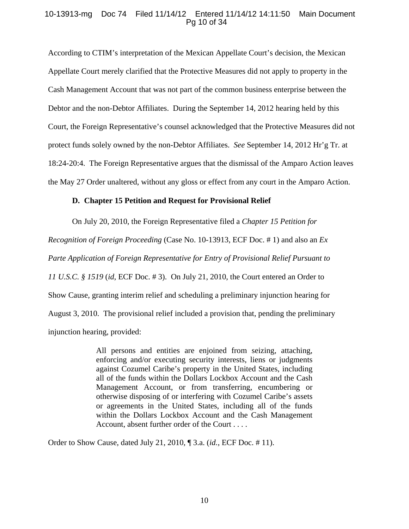# 10-13913-mg Doc 74 Filed 11/14/12 Entered 11/14/12 14:11:50 Main Document Pg 10 of 34

According to CTIM's interpretation of the Mexican Appellate Court's decision, the Mexican Appellate Court merely clarified that the Protective Measures did not apply to property in the Cash Management Account that was not part of the common business enterprise between the Debtor and the non-Debtor Affiliates. During the September 14, 2012 hearing held by this Court, the Foreign Representative's counsel acknowledged that the Protective Measures did not protect funds solely owned by the non-Debtor Affiliates. *See* September 14, 2012 Hr'g Tr. at 18:24-20:4. The Foreign Representative argues that the dismissal of the Amparo Action leaves the May 27 Order unaltered, without any gloss or effect from any court in the Amparo Action.

## **D. Chapter 15 Petition and Request for Provisional Relief**

On July 20, 2010, the Foreign Representative filed a *Chapter 15 Petition for* 

*Recognition of Foreign Proceeding* (Case No. 10-13913, ECF Doc. # 1) and also an *Ex Parte Application of Foreign Representative for Entry of Provisional Relief Pursuant to 11 U.S.C. § 1519 (id. ECF Doc. #3).* On July 21, 2010, the Court entered an Order to

Show Cause, granting interim relief and scheduling a preliminary injunction hearing for

August 3, 2010. The provisional relief included a provision that, pending the preliminary

injunction hearing, provided:

All persons and entities are enjoined from seizing, attaching, enforcing and/or executing security interests, liens or judgments against Cozumel Caribe's property in the United States, including all of the funds within the Dollars Lockbox Account and the Cash Management Account, or from transferring, encumbering or otherwise disposing of or interfering with Cozumel Caribe's assets or agreements in the United States, including all of the funds within the Dollars Lockbox Account and the Cash Management Account, absent further order of the Court . . . .

Order to Show Cause, dated July 21, 2010, ¶ 3.a. (*id.*, ECF Doc. # 11).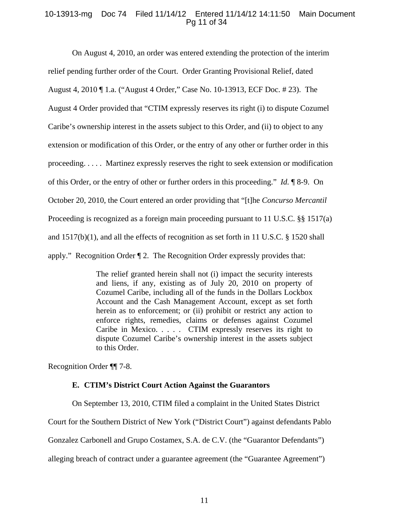# 10-13913-mg Doc 74 Filed 11/14/12 Entered 11/14/12 14:11:50 Main Document Pg 11 of 34

On August 4, 2010, an order was entered extending the protection of the interim relief pending further order of the Court. Order Granting Provisional Relief, dated August 4, 2010 ¶ 1.a. ("August 4 Order," Case No. 10-13913, ECF Doc. # 23). The August 4 Order provided that "CTIM expressly reserves its right (i) to dispute Cozumel Caribe's ownership interest in the assets subject to this Order, and (ii) to object to any extension or modification of this Order, or the entry of any other or further order in this proceeding. . . . . Martinez expressly reserves the right to seek extension or modification of this Order, or the entry of other or further orders in this proceeding." *Id.* ¶ 8-9. On October 20, 2010, the Court entered an order providing that "[t]he *Concurso Mercantil*  Proceeding is recognized as a foreign main proceeding pursuant to 11 U.S.C. §§ 1517(a) and 1517(b)(1), and all the effects of recognition as set forth in 11 U.S.C. § 1520 shall apply." Recognition Order ¶ 2. The Recognition Order expressly provides that:

> The relief granted herein shall not (i) impact the security interests and liens, if any, existing as of July 20, 2010 on property of Cozumel Caribe, including all of the funds in the Dollars Lockbox Account and the Cash Management Account, except as set forth herein as to enforcement; or (ii) prohibit or restrict any action to enforce rights, remedies, claims or defenses against Cozumel Caribe in Mexico. . . . . CTIM expressly reserves its right to dispute Cozumel Caribe's ownership interest in the assets subject to this Order.

Recognition Order ¶¶ 7-8.

# **E. CTIM's District Court Action Against the Guarantors**

On September 13, 2010, CTIM filed a complaint in the United States District

Court for the Southern District of New York ("District Court") against defendants Pablo

Gonzalez Carbonell and Grupo Costamex, S.A. de C.V. (the "Guarantor Defendants")

alleging breach of contract under a guarantee agreement (the "Guarantee Agreement")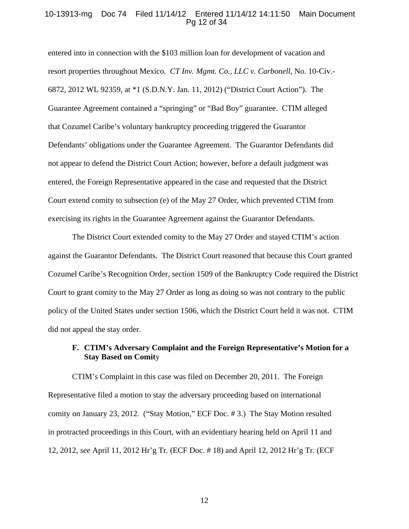## 10-13913-mg Doc 74 Filed 11/14/12 Entered 11/14/12 14:11:50 Main Document Pg 12 of 34

entered into in connection with the \$103 million loan for development of vacation and resort properties throughout Mexico. *CT Inv. Mgmt. Co., LLC v. Carbonell*, No. 10-Civ.- 6872, 2012 WL 92359, at \*1 (S.D.N.Y. Jan. 11, 2012) ("District Court Action"). The Guarantee Agreement contained a "springing" or "Bad Boy" guarantee. CTIM alleged that Cozumel Caribe's voluntary bankruptcy proceeding triggered the Guarantor Defendants' obligations under the Guarantee Agreement. The Guarantor Defendants did not appear to defend the District Court Action; however, before a default judgment was entered, the Foreign Representative appeared in the case and requested that the District Court extend comity to subsection (e) of the May 27 Order, which prevented CTIM from exercising its rights in the Guarantee Agreement against the Guarantor Defendants.

The District Court extended comity to the May 27 Order and stayed CTIM's action against the Guarantor Defendants. The District Court reasoned that because this Court granted Cozumel Caribe's Recognition Order, section 1509 of the Bankruptcy Code required the District Court to grant comity to the May 27 Order as long as doing so was not contrary to the public policy of the United States under section 1506, which the District Court held it was not. CTIM did not appeal the stay order.

# **F. CTIM's Adversary Complaint and the Foreign Representative's Motion for a Stay Based on Comit**y

CTIM's Complaint in this case was filed on December 20, 2011. The Foreign Representative filed a motion to stay the adversary proceeding based on international comity on January 23, 2012. ("Stay Motion," ECF Doc. # 3.) The Stay Motion resulted in protracted proceedings in this Court, with an evidentiary hearing held on April 11 and 12, 2012, *see* April 11, 2012 Hr'g Tr. (ECF Doc. # 18) and April 12, 2012 Hr'g Tr. (ECF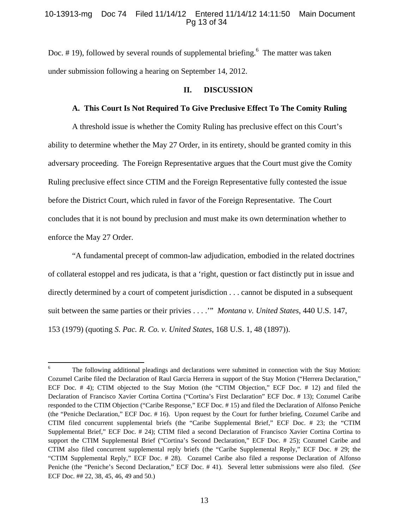# 10-13913-mg Doc 74 Filed 11/14/12 Entered 11/14/12 14:11:50 Main Document Pg 13 of 34

Doc.  $# 19$ ), followed by several rounds of supplemental briefing. <sup>6</sup> The matter was taken under submission following a hearing on September 14, 2012.

## **II. DISCUSSION**

## **A. This Court Is Not Required To Give Preclusive Effect To The Comity Ruling**

A threshold issue is whether the Comity Ruling has preclusive effect on this Court's ability to determine whether the May 27 Order, in its entirety, should be granted comity in this adversary proceeding. The Foreign Representative argues that the Court must give the Comity Ruling preclusive effect since CTIM and the Foreign Representative fully contested the issue before the District Court, which ruled in favor of the Foreign Representative. The Court concludes that it is not bound by preclusion and must make its own determination whether to enforce the May 27 Order.

"A fundamental precept of common-law adjudication, embodied in the related doctrines of collateral estoppel and res judicata, is that a 'right, question or fact distinctly put in issue and directly determined by a court of competent jurisdiction . . . cannot be disputed in a subsequent suit between the same parties or their privies . . . .'" *Montana v. United States*, 440 U.S. 147, 153 (1979) (quoting *S. Pac. R. Co. v. United States*, 168 U.S. 1, 48 (1897)).

<sup>6</sup> The following additional pleadings and declarations were submitted in connection with the Stay Motion: Cozumel Caribe filed the Declaration of Raul Garcia Herrera in support of the Stay Motion ("Herrera Declaration," ECF Doc. # 4); CTIM objected to the Stay Motion (the "CTIM Objection," ECF Doc. # 12) and filed the Declaration of Francisco Xavier Cortina Cortina ("Cortina's First Declaration" ECF Doc. # 13); Cozumel Caribe responded to the CTIM Objection ("Caribe Response," ECF Doc. # 15) and filed the Declaration of Alfonso Peniche (the "Peniche Declaration," ECF Doc. # 16). Upon request by the Court for further briefing, Cozumel Caribe and CTIM filed concurrent supplemental briefs (the "Caribe Supplemental Brief," ECF Doc. # 23; the "CTIM Supplemental Brief," ECF Doc. # 24); CTIM filed a second Declaration of Francisco Xavier Cortina Cortina to support the CTIM Supplemental Brief ("Cortina's Second Declaration," ECF Doc. # 25); Cozumel Caribe and CTIM also filed concurrent supplemental reply briefs (the "Caribe Supplemental Reply," ECF Doc. # 29; the "CTIM Supplemental Reply," ECF Doc. # 28). Cozumel Caribe also filed a response Declaration of Alfonso Peniche (the "Peniche's Second Declaration," ECF Doc. # 41). Several letter submissions were also filed. (*See*  ECF Doc. ## 22, 38, 45, 46, 49 and 50.)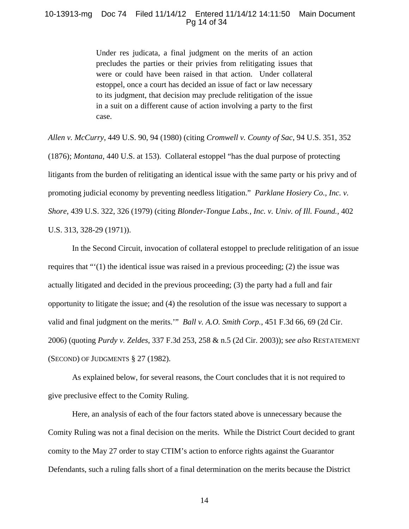## 10-13913-mg Doc 74 Filed 11/14/12 Entered 11/14/12 14:11:50 Main Document Pg 14 of 34

Under res judicata, a final judgment on the merits of an action precludes the parties or their privies from relitigating issues that were or could have been raised in that action. Under collateral estoppel, once a court has decided an issue of fact or law necessary to its judgment, that decision may preclude relitigation of the issue in a suit on a different cause of action involving a party to the first case.

*Allen v. McCurry*, 449 U.S. 90, 94 (1980) (citing *Cromwell v. County of Sac*, 94 U.S. 351, 352 (1876); *Montana*, 440 U.S. at 153). Collateral estoppel "has the dual purpose of protecting litigants from the burden of relitigating an identical issue with the same party or his privy and of promoting judicial economy by preventing needless litigation." *Parklane Hosiery Co., Inc. v. Shore*, 439 U.S. 322, 326 (1979) (citing *Blonder-Tongue Labs., Inc. v. Univ. of Ill. Found.*, 402 U.S. 313, 328-29 (1971)).

In the Second Circuit, invocation of collateral estoppel to preclude relitigation of an issue requires that  $\cdot\cdot\cdot(1)$  the identical issue was raised in a previous proceeding; (2) the issue was actually litigated and decided in the previous proceeding; (3) the party had a full and fair opportunity to litigate the issue; and (4) the resolution of the issue was necessary to support a valid and final judgment on the merits.'" *Ball v. A.O. Smith Corp.*, 451 F.3d 66, 69 (2d Cir. 2006) (quoting *Purdy v. Zeldes*, 337 F.3d 253, 258 & n.5 (2d Cir. 2003)); s*ee also* RESTATEMENT (SECOND) OF JUDGMENTS § 27 (1982).

As explained below, for several reasons, the Court concludes that it is not required to give preclusive effect to the Comity Ruling.

Here, an analysis of each of the four factors stated above is unnecessary because the Comity Ruling was not a final decision on the merits. While the District Court decided to grant comity to the May 27 order to stay CTIM's action to enforce rights against the Guarantor Defendants, such a ruling falls short of a final determination on the merits because the District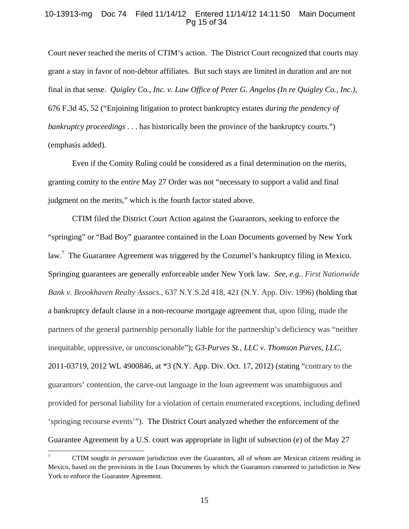# 10-13913-mg Doc 74 Filed 11/14/12 Entered 11/14/12 14:11:50 Main Document Pg 15 of 34

Court never reached the merits of CTIM's action. The District Court recognized that courts may grant a stay in favor of non-debtor affiliates. But such stays are limited in duration and are not final in that sense. *Quigley Co., Inc. v. Law Office of Peter G. Angelos (In re Quigley Co., Inc.)*, 676 F.3d 45, 52 ("Enjoining litigation to protect bankruptcy estates *during the pendency of bankruptcy proceedings* . . . has historically been the province of the bankruptcy courts.") (emphasis added).

Even if the Comity Ruling could be considered as a final determination on the merits, granting comity to the *entire* May 27 Order was not "necessary to support a valid and final judgment on the merits," which is the fourth factor stated above.

CTIM filed the District Court Action against the Guarantors, seeking to enforce the "springing" or "Bad Boy" guarantee contained in the Loan Documents governed by New York law.<sup>7</sup> The Guarantee Agreement was triggered by the Cozumel's bankruptcy filing in Mexico. Springing guarantees are generally enforceable under New York law. *See, e.g*., *First Nationwide Bank v. Brookhaven Realty Assocs.,* 637 N.Y.S*.*2d 418, 421 (N.Y. App. Div. 1996) (holding that a bankruptcy default clause in a non-recourse mortgage agreement that, upon filing, made the partners of the general partnership personally liable for the partnership's deficiency was "neither inequitable, oppressive, or unconscionable"); *G3-Purves St., LLC v. Thomson Purves, LLC*, 2011-03719, 2012 WL 4900846, at \*3 (N.Y. App. Div. Oct. 17, 2012) (stating "contrary to the guarantors' contention, the carve-out language in the loan agreement was unambiguous and provided for personal liability for a violation of certain enumerated exceptions, including defined 'springing recourse events'"). The District Court analyzed whether the enforcement of the Guarantee Agreement by a U.S. court was appropriate in light of subsection (e) of the May 27

<sup>7</sup> CTIM sought *in personam* jurisdiction over the Guarantors, all of whom are Mexican citizens residing in Mexico, based on the provisions in the Loan Documents by which the Guarantors consented to jurisdiction in New York to enforce the Guarantee Agreement.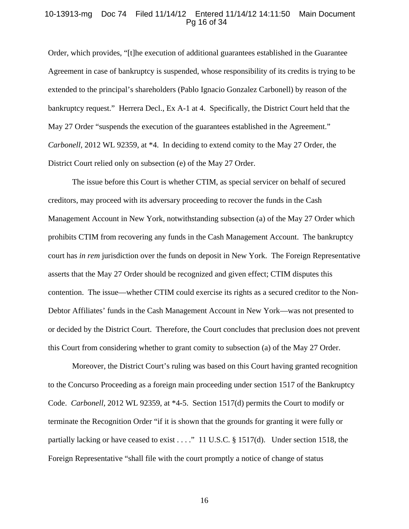#### 10-13913-mg Doc 74 Filed 11/14/12 Entered 11/14/12 14:11:50 Main Document Pg 16 of 34

Order, which provides, "[t]he execution of additional guarantees established in the Guarantee Agreement in case of bankruptcy is suspended, whose responsibility of its credits is trying to be extended to the principal's shareholders (Pablo Ignacio Gonzalez Carbonell) by reason of the bankruptcy request." Herrera Decl., Ex A-1 at 4. Specifically, the District Court held that the May 27 Order "suspends the execution of the guarantees established in the Agreement." *Carbonell*, 2012 WL 92359, at \*4. In deciding to extend comity to the May 27 Order, the District Court relied only on subsection (e) of the May 27 Order.

The issue before this Court is whether CTIM, as special servicer on behalf of secured creditors, may proceed with its adversary proceeding to recover the funds in the Cash Management Account in New York, notwithstanding subsection (a) of the May 27 Order which prohibits CTIM from recovering any funds in the Cash Management Account. The bankruptcy court has *in rem* jurisdiction over the funds on deposit in New York. The Foreign Representative asserts that the May 27 Order should be recognized and given effect; CTIM disputes this contention. The issue—whether CTIM could exercise its rights as a secured creditor to the Non-Debtor Affiliates' funds in the Cash Management Account in New York—was not presented to or decided by the District Court. Therefore, the Court concludes that preclusion does not prevent this Court from considering whether to grant comity to subsection (a) of the May 27 Order.

Moreover, the District Court's ruling was based on this Court having granted recognition to the Concurso Proceeding as a foreign main proceeding under section 1517 of the Bankruptcy Code. *Carbonell*, 2012 WL 92359, at \*4-5. Section 1517(d) permits the Court to modify or terminate the Recognition Order "if it is shown that the grounds for granting it were fully or partially lacking or have ceased to exist . . . ." 11 U.S.C. § 1517(d). Under section 1518, the Foreign Representative "shall file with the court promptly a notice of change of status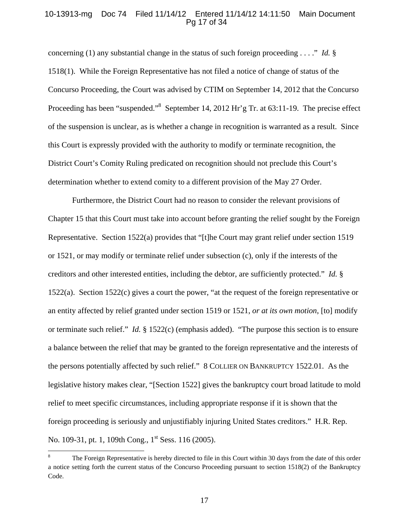#### 10-13913-mg Doc 74 Filed 11/14/12 Entered 11/14/12 14:11:50 Main Document Pg 17 of 34

concerning (1) any substantial change in the status of such foreign proceeding . . . ." *Id.* § 1518(1). While the Foreign Representative has not filed a notice of change of status of the Concurso Proceeding, the Court was advised by CTIM on September 14, 2012 that the Concurso Proceeding has been "suspended."<sup>8</sup> September 14, 2012 Hr'g Tr. at 63:11-19. The precise effect of the suspension is unclear, as is whether a change in recognition is warranted as a result. Since this Court is expressly provided with the authority to modify or terminate recognition, the District Court's Comity Ruling predicated on recognition should not preclude this Court's determination whether to extend comity to a different provision of the May 27 Order.

Furthermore, the District Court had no reason to consider the relevant provisions of Chapter 15 that this Court must take into account before granting the relief sought by the Foreign Representative. Section 1522(a) provides that "[t]he Court may grant relief under section 1519 or 1521, or may modify or terminate relief under subsection (c), only if the interests of the creditors and other interested entities, including the debtor, are sufficiently protected." *Id.* § 1522(a). Section 1522(c) gives a court the power, "at the request of the foreign representative or an entity affected by relief granted under section 1519 or 1521, *or at its own motion*, [to] modify or terminate such relief." *Id.* § 1522(c) (emphasis added). "The purpose this section is to ensure a balance between the relief that may be granted to the foreign representative and the interests of the persons potentially affected by such relief." 8 COLLIER ON BANKRUPTCY 1522.01. As the legislative history makes clear, "[Section 1522] gives the bankruptcy court broad latitude to mold relief to meet specific circumstances, including appropriate response if it is shown that the foreign proceeding is seriously and unjustifiably injuring United States creditors." H.R. Rep. No. 109-31, pt. 1, 109th Cong., 1<sup>st</sup> Sess. 116 (2005).

<sup>8</sup> The Foreign Representative is hereby directed to file in this Court within 30 days from the date of this order a notice setting forth the current status of the Concurso Proceeding pursuant to section 1518(2) of the Bankruptcy Code.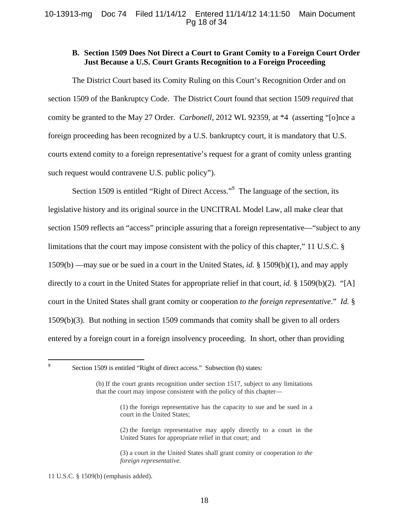# **B. Section 1509 Does Not Direct a Court to Grant Comity to a Foreign Court Order Just Because a U.S. Court Grants Recognition to a Foreign Proceeding**

The District Court based its Comity Ruling on this Court's Recognition Order and on section 1509 of the Bankruptcy Code. The District Court found that section 1509 *required* that comity be granted to the May 27 Order. *Carbonell*, 2012 WL 92359, at \*4 (asserting "[o]nce a foreign proceeding has been recognized by a U.S. bankruptcy court, it is mandatory that U.S. courts extend comity to a foreign representative's request for a grant of comity unless granting such request would contravene U.S. public policy").

Section 1509 is entitled "Right of Direct Access."<sup>9</sup> The language of the section, its legislative history and its original source in the UNCITRAL Model Law, all make clear that section 1509 reflects an "access" principle assuring that a foreign representative—"subject to any limitations that the court may impose consistent with the policy of this chapter," 11 U.S.C. § 1509(b) —may sue or be sued in a court in the United States, *id.* § 1509(b)(1), and may apply directly to a court in the United States for appropriate relief in that court, *id.* § 1509(b)(2). "[A] court in the United States shall grant comity or cooperation *to the foreign representative*." *Id.* § 1509(b)(3). But nothing in section 1509 commands that comity shall be given to all orders entered by a foreign court in a foreign insolvency proceeding. In short, other than providing

 9

Section 1509 is entitled "Right of direct access." Subsection (b) states:

- (1) the foreign representative has the capacity to sue and be sued in a court in the United States;
- (2) the foreign representative may apply directly to a court in the United States for appropriate relief in that court; and

(3) a court in the United States shall grant comity or cooperation *to the foreign representative.*

11 U.S.C. § 1509(b) (emphasis added).

<sup>(</sup>b) If the court grants recognition under section 1517, subject to any limitations that the court may impose consistent with the policy of this chapter—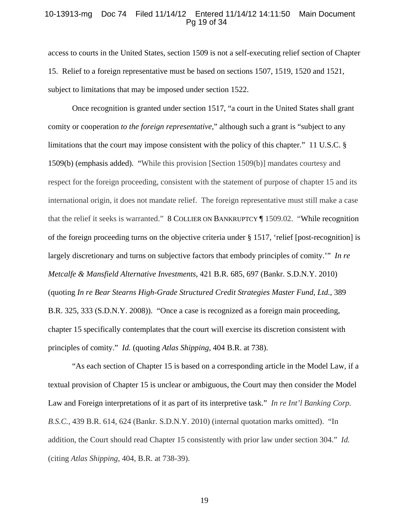#### 10-13913-mg Doc 74 Filed 11/14/12 Entered 11/14/12 14:11:50 Main Document Pg 19 of 34

access to courts in the United States, section 1509 is not a self-executing relief section of Chapter 15. Relief to a foreign representative must be based on sections 1507, 1519, 1520 and 1521, subject to limitations that may be imposed under section 1522.

Once recognition is granted under section 1517, "a court in the United States shall grant comity or cooperation *to the foreign representative*," although such a grant is "subject to any limitations that the court may impose consistent with the policy of this chapter." 11 U.S.C. § 1509(b) (emphasis added). "While this provision [Section 1509(b)] mandates courtesy and respect for the foreign proceeding, consistent with the statement of purpose of chapter 15 and its international origin, it does not mandate relief. The foreign representative must still make a case that the relief it seeks is warranted." 8 COLLIER ON BANKRUPTCY ¶ 1509.02. "While recognition of the foreign proceeding turns on the objective criteria under § 1517, 'relief [post-recognition] is largely discretionary and turns on subjective factors that embody principles of comity.'" *In re Metcalfe & Mansfield Alternative Investments*, 421 B.R. 685, 697 (Bankr. S.D.N.Y. 2010) (quoting *In re Bear Stearns High-Grade Structured Credit Strategies Master Fund, Ltd.*, 389 B.R. 325, 333 (S.D.N.Y. 2008)). "Once a case is recognized as a foreign main proceeding, chapter 15 specifically contemplates that the court will exercise its discretion consistent with principles of comity." *Id.* (quoting *Atlas Shipping,* 404 B.R. at 738).

"As each section of Chapter 15 is based on a corresponding article in the Model Law, if a textual provision of Chapter 15 is unclear or ambiguous, the Court may then consider the Model Law and Foreign interpretations of it as part of its interpretive task." *In re Int'l Banking Corp. B.S.C.,* 439 B.R. 614, 624 (Bankr. S.D.N.Y. 2010) (internal quotation marks omitted). "In addition, the Court should read Chapter 15 consistently with prior law under section 304." *Id.*  (citing *Atlas Shipping*, 404, B.R. at 738-39).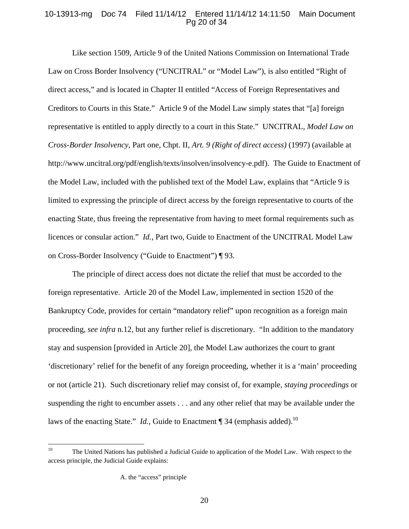# 10-13913-mg Doc 74 Filed 11/14/12 Entered 11/14/12 14:11:50 Main Document Pg 20 of 34

Like section 1509, Article 9 of the United Nations Commission on International Trade Law on Cross Border Insolvency ("UNCITRAL" or "Model Law"), is also entitled "Right of direct access," and is located in Chapter II entitled "Access of Foreign Representatives and Creditors to Courts in this State." Article 9 of the Model Law simply states that "[a] foreign representative is entitled to apply directly to a court in this State." UNCITRAL, *Model Law on Cross-Border Insolvency*, Part one, Chpt. II, *Art. 9 (Right of direct access)* (1997) (available at http://www.uncitral.org/pdf/english/texts/insolven/insolvency-e.pdf). The Guide to Enactment of the Model Law, included with the published text of the Model Law, explains that "Article 9 is limited to expressing the principle of direct access by the foreign representative to courts of the enacting State, thus freeing the representative from having to meet formal requirements such as licences or consular action." *Id.,* Part two, Guide to Enactment of the UNCITRAL Model Law on Cross-Border Insolvency ("Guide to Enactment") ¶ 93.

The principle of direct access does not dictate the relief that must be accorded to the foreign representative. Article 20 of the Model Law, implemented in section 1520 of the Bankruptcy Code, provides for certain "mandatory relief" upon recognition as a foreign main proceeding, *see infra* n.12, but any further relief is discretionary. "In addition to the mandatory stay and suspension [provided in Article 20], the Model Law authorizes the court to grant 'discretionary' relief for the benefit of any foreign proceeding, whether it is a 'main' proceeding or not (article 21). Such discretionary relief may consist of, for example, *staying proceedings* or suspending the right to encumber assets . . . and any other relief that may be available under the laws of the enacting State." *Id.*, Guide to Enactment ¶ 34 (emphasis added).<sup>10</sup>

<sup>&</sup>lt;sup>10</sup> The United Nations has published a Judicial Guide to application of the Model Law. With respect to the access principle, the Judicial Guide explains:

A. the "access" principle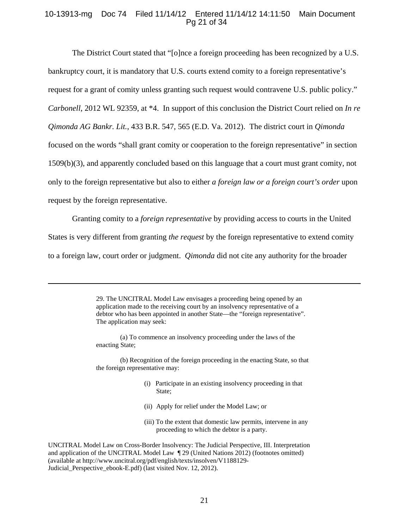# 10-13913-mg Doc 74 Filed 11/14/12 Entered 11/14/12 14:11:50 Main Document Pg 21 of 34

The District Court stated that "[o]nce a foreign proceeding has been recognized by a U.S. bankruptcy court, it is mandatory that U.S. courts extend comity to a foreign representative's request for a grant of comity unless granting such request would contravene U.S. public policy." *Carbonell*, 2012 WL 92359, at \*4. In support of this conclusion the District Court relied on *In re Qimonda AG Bankr. Lit.*, 433 B.R. 547, 565 (E.D. Va. 2012). The district court in *Qimonda* focused on the words "shall grant comity or cooperation to the foreign representative" in section 1509(b)(3), and apparently concluded based on this language that a court must grant comity, not only to the foreign representative but also to either *a foreign law or a foreign court's order* upon request by the foreign representative.

Granting comity to a *foreign representative* by providing access to courts in the United States is very different from granting *the request* by the foreign representative to extend comity to a foreign law, court order or judgment. *Qimonda* did not cite any authority for the broader

> 29. The UNCITRAL Model Law envisages a proceeding being opened by an application made to the receiving court by an insolvency representative of a debtor who has been appointed in another State—the "foreign representative". The application may seek:

<u> 1989 - Johann Stein, marwolaethau a gweledydd a ganlad y ganlad y ganlad y ganlad y ganlad y ganlad y ganlad</u>

 (a) To commence an insolvency proceeding under the laws of the enacting State;

 (b) Recognition of the foreign proceeding in the enacting State, so that the foreign representative may:

- (i) Participate in an existing insolvency proceeding in that State;
- (ii) Apply for relief under the Model Law; or
- (iii) To the extent that domestic law permits, intervene in any proceeding to which the debtor is a party.

UNCITRAL Model Law on Cross-Border Insolvency: The Judicial Perspective, III. Interpretation and application of the UNCITRAL Model Law ¶ 29 (United Nations 2012) (footnotes omitted) (available at http://www.uncitral.org/pdf/english/texts/insolven/V1188129- Judicial\_Perspective\_ebook-E.pdf) (last visited Nov. 12, 2012).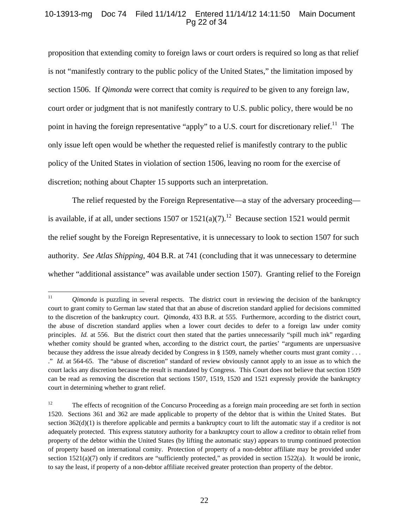# 10-13913-mg Doc 74 Filed 11/14/12 Entered 11/14/12 14:11:50 Main Document Pg 22 of 34

proposition that extending comity to foreign laws or court orders is required so long as that relief is not "manifestly contrary to the public policy of the United States," the limitation imposed by section 1506. If *Qimonda* were correct that comity is *required* to be given to any foreign law, court order or judgment that is not manifestly contrary to U.S. public policy, there would be no point in having the foreign representative "apply" to a U.S. court for discretionary relief.<sup>11</sup> The only issue left open would be whether the requested relief is manifestly contrary to the public policy of the United States in violation of section 1506, leaving no room for the exercise of discretion; nothing about Chapter 15 supports such an interpretation.

The relief requested by the Foreign Representative—a stay of the adversary proceeding is available, if at all, under sections 1507 or  $1521(a)(7)$ .<sup>12</sup> Because section 1521 would permit the relief sought by the Foreign Representative, it is unnecessary to look to section 1507 for such authority. *See Atlas Shipping*, 404 B.R. at 741 (concluding that it was unnecessary to determine whether "additional assistance" was available under section 1507). Granting relief to the Foreign

<sup>&</sup>lt;sup>11</sup> *Qimonda* is puzzling in several respects. The district court in reviewing the decision of the bankruptcy court to grant comity to German law stated that that an abuse of discretion standard applied for decisions committed to the discretion of the bankruptcy court. *Qimonda*, 433 B.R. at 555. Furthermore, according to the district court, the abuse of discretion standard applies when a lower court decides to defer to a foreign law under comity principles. *Id.* at 556. But the district court then stated that the parties unnecessarily "spill much ink" regarding whether comity should be granted when, according to the district court, the parties' "arguments are unpersuasive because they address the issue already decided by Congress in § 1509, namely whether courts must grant comity . . . ." *Id.* at 564-65. The "abuse of discretion" standard of review obviously cannot apply to an issue as to which the court lacks any discretion because the result is mandated by Congress. This Court does not believe that section 1509 can be read as removing the discretion that sections 1507, 1519, 1520 and 1521 expressly provide the bankruptcy court in determining whether to grant relief.

<sup>&</sup>lt;sup>12</sup> The effects of recognition of the Concurso Proceeding as a foreign main proceeding are set forth in section 1520. Sections 361 and 362 are made applicable to property of the debtor that is within the United States. But section  $362(d)(1)$  is therefore applicable and permits a bankruptcy court to lift the automatic stay if a creditor is not adequately protected. This express statutory authority for a bankruptcy court to allow a creditor to obtain relief from property of the debtor within the United States (by lifting the automatic stay) appears to trump continued protection of property based on international comity. Protection of property of a non-debtor affiliate may be provided under section  $1521(a)(7)$  only if creditors are "sufficiently protected," as provided in section  $1522(a)$ . It would be ironic, to say the least, if property of a non-debtor affiliate received greater protection than property of the debtor.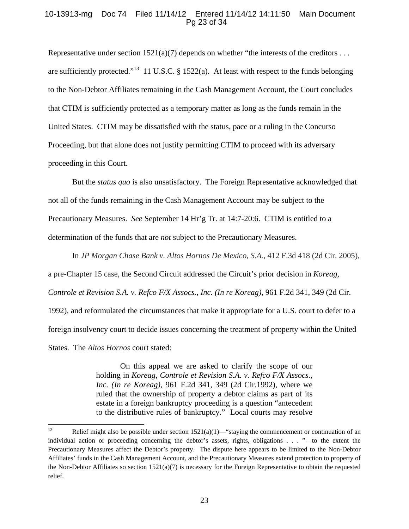# 10-13913-mg Doc 74 Filed 11/14/12 Entered 11/14/12 14:11:50 Main Document Pg 23 of 34

Representative under section  $1521(a)(7)$  depends on whether "the interests of the creditors ... are sufficiently protected."<sup>13</sup> 11 U.S.C. § 1522(a). At least with respect to the funds belonging to the Non-Debtor Affiliates remaining in the Cash Management Account, the Court concludes that CTIM is sufficiently protected as a temporary matter as long as the funds remain in the United States. CTIM may be dissatisfied with the status, pace or a ruling in the Concurso Proceeding, but that alone does not justify permitting CTIM to proceed with its adversary proceeding in this Court.

But the *status quo* is also unsatisfactory. The Foreign Representative acknowledged that not all of the funds remaining in the Cash Management Account may be subject to the Precautionary Measures. *See* September 14 Hr'g Tr. at 14:7-20:6. CTIM is entitled to a determination of the funds that are *not* subject to the Precautionary Measures.

In *JP Morgan Chase Bank v. Altos Hornos De Mexico*, *S.A.*, 412 F.3d 418 (2d Cir. 2005), a pre-Chapter 15 case, the Second Circuit addressed the Circuit's prior decision in *Koreag*, *Controle et Revision S.A. v. Refco F/X Assocs., Inc. (In re Koreag),* 961 F.2d 341, 349 (2d Cir. 1992)*,* and reformulated the circumstances that make it appropriate for a U.S. court to defer to a foreign insolvency court to decide issues concerning the treatment of property within the United States. The *Altos Hornos* court stated:

> On this appeal we are asked to clarify the scope of our holding in *Koreag*, *Controle et Revision S.A. v. Refco F/X Assocs., Inc. (In re Koreag),* 961 F.2d 341, 349 (2d Cir.1992), where we ruled that the ownership of property a debtor claims as part of its estate in a foreign bankruptcy proceeding is a question "antecedent to the distributive rules of bankruptcy." Local courts may resolve

<sup>&</sup>lt;sup>13</sup> Relief might also be possible under section  $1521(a)(1)$ —"staying the commencement or continuation of an individual action or proceeding concerning the debtor's assets, rights, obligations . . . "—to the extent the Precautionary Measures affect the Debtor's property. The dispute here appears to be limited to the Non-Debtor Affiliates' funds in the Cash Management Account, and the Precautionary Measures extend protection to property of the Non-Debtor Affiliates so section  $1521(a)(7)$  is necessary for the Foreign Representative to obtain the requested relief.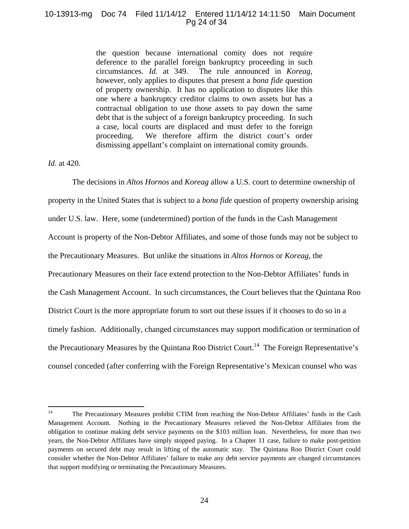## 10-13913-mg Doc 74 Filed 11/14/12 Entered 11/14/12 14:11:50 Main Document Pg 24 of 34

the question because international comity does not require deference to the parallel foreign bankruptcy proceeding in such circumstances. *Id.* at 349. The rule announced in *Koreag,* however, only applies to disputes that present a *bona fide* question of property ownership. It has no application to disputes like this one where a bankruptcy creditor claims to own assets but has a contractual obligation to use those assets to pay down the same debt that is the subject of a foreign bankruptcy proceeding. In such a case, local courts are displaced and must defer to the foreign proceeding. We therefore affirm the district court's order dismissing appellant's complaint on international comity grounds.

## *Id.* at 420.

The decisions in *Altos Hornos* and *Koreag* allow a U.S. court to determine ownership of property in the United States that is subject to a *bona fide* question of property ownership arising under U.S. law. Here, some (undetermined) portion of the funds in the Cash Management Account is property of the Non-Debtor Affiliates, and some of those funds may not be subject to the Precautionary Measures. But unlike the situations in *Altos Hornos* or *Koreag*, the Precautionary Measures on their face extend protection to the Non-Debtor Affiliates' funds in the Cash Management Account. In such circumstances, the Court believes that the Quintana Roo District Court is the more appropriate forum to sort out these issues if it chooses to do so in a timely fashion. Additionally, changed circumstances may support modification or termination of the Precautionary Measures by the Quintana Roo District Court.<sup>14</sup> The Foreign Representative's counsel conceded (after conferring with the Foreign Representative's Mexican counsel who was

<sup>&</sup>lt;sup>14</sup> The Precautionary Measures prohibit CTIM from reaching the Non-Debtor Affiliates' funds in the Cash Management Account. Nothing in the Precautionary Measures relieved the Non-Debtor Affiliates from the obligation to continue making debt service payments on the \$103 million loan. Nevertheless, for more than two years, the Non-Debtor Affiliates have simply stopped paying. In a Chapter 11 case, failure to make post-petition payments on secured debt may result in lifting of the automatic stay. The Quintana Roo District Court could consider whether the Non-Debtor Affiliates' failure to make any debt service payments are changed circumstances that support modifying or terminating the Precautionary Measures.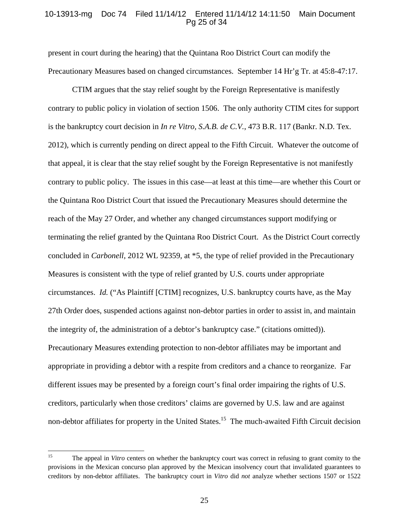## 10-13913-mg Doc 74 Filed 11/14/12 Entered 11/14/12 14:11:50 Main Document Pg 25 of 34

present in court during the hearing) that the Quintana Roo District Court can modify the Precautionary Measures based on changed circumstances. September 14 Hr'g Tr. at 45:8-47:17.

CTIM argues that the stay relief sought by the Foreign Representative is manifestly contrary to public policy in violation of section 1506. The only authority CTIM cites for support is the bankruptcy court decision in *In re Vitro, S.A.B. de C.V.*, 473 B.R. 117 (Bankr. N.D. Tex. 2012), which is currently pending on direct appeal to the Fifth Circuit. Whatever the outcome of that appeal, it is clear that the stay relief sought by the Foreign Representative is not manifestly contrary to public policy. The issues in this case—at least at this time—are whether this Court or the Quintana Roo District Court that issued the Precautionary Measures should determine the reach of the May 27 Order, and whether any changed circumstances support modifying or terminating the relief granted by the Quintana Roo District Court. As the District Court correctly concluded in *Carbonell*, 2012 WL 92359, at \*5, the type of relief provided in the Precautionary Measures is consistent with the type of relief granted by U.S. courts under appropriate circumstances. *Id.* ("As Plaintiff [CTIM] recognizes, U.S. bankruptcy courts have, as the May 27th Order does, suspended actions against non-debtor parties in order to assist in, and maintain the integrity of, the administration of a debtor's bankruptcy case." (citations omitted)). Precautionary Measures extending protection to non-debtor affiliates may be important and appropriate in providing a debtor with a respite from creditors and a chance to reorganize. Far different issues may be presented by a foreign court's final order impairing the rights of U.S. creditors, particularly when those creditors' claims are governed by U.S. law and are against non-debtor affiliates for property in the United States.<sup>15</sup> The much-awaited Fifth Circuit decision

<sup>&</sup>lt;sup>15</sup> The appeal in *Vitro* centers on whether the bankruptcy court was correct in refusing to grant comity to the provisions in the Mexican concurso plan approved by the Mexican insolvency court that invalidated guarantees to creditors by non-debtor affiliates. The bankruptcy court in *Vitro* did *not* analyze whether sections 1507 or 1522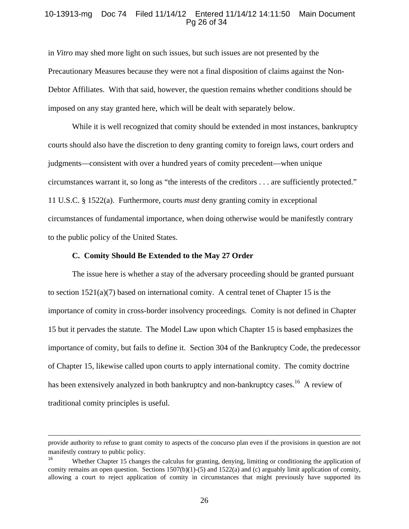## 10-13913-mg Doc 74 Filed 11/14/12 Entered 11/14/12 14:11:50 Main Document Pg 26 of 34

in *Vitro* may shed more light on such issues, but such issues are not presented by the Precautionary Measures because they were not a final disposition of claims against the Non-Debtor Affiliates. With that said, however, the question remains whether conditions should be imposed on any stay granted here, which will be dealt with separately below.

While it is well recognized that comity should be extended in most instances, bankruptcy courts should also have the discretion to deny granting comity to foreign laws, court orders and judgments—consistent with over a hundred years of comity precedent—when unique circumstances warrant it, so long as "the interests of the creditors . . . are sufficiently protected." 11 U.S.C. § 1522(a). Furthermore, courts *must* deny granting comity in exceptional circumstances of fundamental importance, when doing otherwise would be manifestly contrary to the public policy of the United States.

#### **C. Comity Should Be Extended to the May 27 Order**

The issue here is whether a stay of the adversary proceeding should be granted pursuant to section  $1521(a)(7)$  based on international comity. A central tenet of Chapter 15 is the importance of comity in cross-border insolvency proceedings. Comity is not defined in Chapter 15 but it pervades the statute. The Model Law upon which Chapter 15 is based emphasizes the importance of comity, but fails to define it. Section 304 of the Bankruptcy Code, the predecessor of Chapter 15, likewise called upon courts to apply international comity. The comity doctrine has been extensively analyzed in both bankruptcy and non-bankruptcy cases.<sup>16</sup> A review of traditional comity principles is useful.

<sup>&</sup>lt;u> 1989 - Johann Stein, marwolaethau a gweledydd a ganlad y ganlad y ganlad y ganlad y ganlad y ganlad y ganlad</u> provide authority to refuse to grant comity to aspects of the concurso plan even if the provisions in question are not manifestly contrary to public policy.

Whether Chapter 15 changes the calculus for granting, denying, limiting or conditioning the application of comity remains an open question. Sections  $1507(b)(1)-(5)$  and  $1522(a)$  and (c) arguably limit application of comity, allowing a court to reject application of comity in circumstances that might previously have supported its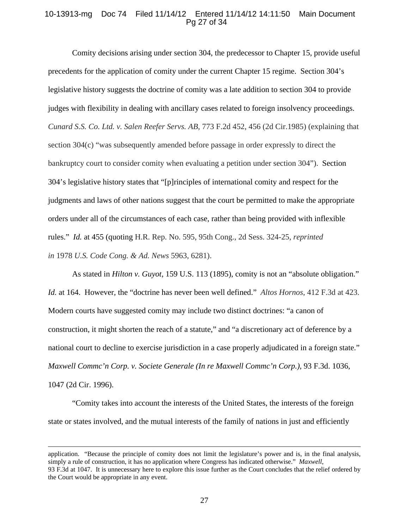## 10-13913-mg Doc 74 Filed 11/14/12 Entered 11/14/12 14:11:50 Main Document Pg 27 of 34

Comity decisions arising under section 304, the predecessor to Chapter 15, provide useful precedents for the application of comity under the current Chapter 15 regime. Section 304's legislative history suggests the doctrine of comity was a late addition to section 304 to provide judges with flexibility in dealing with ancillary cases related to foreign insolvency proceedings. *Cunard S.S. Co. Ltd. v. Salen Reefer Servs. AB,* 773 F.2d 452, 456 (2d Cir.1985) (explaining that section 304(c) "was subsequently amended before passage in order expressly to direct the bankruptcy court to consider comity when evaluating a petition under section 304"). Section 304's legislative history states that "[p]rinciples of international comity and respect for the judgments and laws of other nations suggest that the court be permitted to make the appropriate orders under all of the circumstances of each case, rather than being provided with inflexible rules." *Id.* at 455 (quoting H.R. Rep. No. 595, 95th Cong., 2d Sess. 324-25, *reprinted in* 1978 *U.S. Code Cong. & Ad. News* 5963, 6281).

As stated in *Hilton v. Guyot*, 159 U.S. 113 (1895), comity is not an "absolute obligation." *Id.* at 164. However, the "doctrine has never been well defined." *Altos Hornos*, 412 F.3d at 423. Modern courts have suggested comity may include two distinct doctrines: "a canon of construction, it might shorten the reach of a statute," and "a discretionary act of deference by a national court to decline to exercise jurisdiction in a case properly adjudicated in a foreign state." *Maxwell Commc'n Corp. v. Societe Generale (In re Maxwell Commc'n Corp.)*, 93 F.3d. 1036, 1047 (2d Cir. 1996).

"Comity takes into account the interests of the United States, the interests of the foreign state or states involved, and the mutual interests of the family of nations in just and efficiently

<u> 1989 - Johann Stein, marwolaethau a gweledydd a ganlad y ganlad y ganlad y ganlad y ganlad y ganlad y ganlad</u>

application. "Because the principle of comity does not limit the legislature's power and is, in the final analysis, simply a rule of construction, it has no application where Congress has indicated otherwise." *Maxwell*, 93 F.3d at 1047. It is unnecessary here to explore this issue further as the Court concludes that the relief ordered by the Court would be appropriate in any event.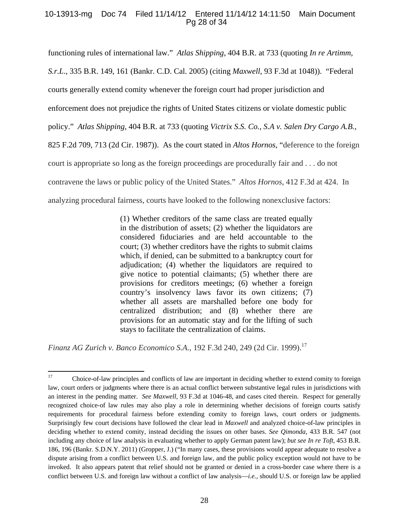# 10-13913-mg Doc 74 Filed 11/14/12 Entered 11/14/12 14:11:50 Main Document Pg 28 of 34

functioning rules of international law." *Atlas Shipping*, 404 B.R. at 733 (quoting *In re Artimm, S.r.L*., 335 B.R. 149, 161 (Bankr. C.D. Cal. 2005) (citing *Maxwell*, 93 F.3d at 1048)). "Federal courts generally extend comity whenever the foreign court had proper jurisdiction and enforcement does not prejudice the rights of United States citizens or violate domestic public policy." *Atlas Shipping*, 404 B.R. at 733 (quoting *Victrix S.S. Co., S.A v. Salen Dry Cargo A.B.*, 825 F.2d 709, 713 (2d Cir. 1987)). As the court stated in *Altos Hornos*, "deference to the foreign court is appropriate so long as the foreign proceedings are procedurally fair and . . . do not contravene the laws or public policy of the United States." *Altos Hornos*, 412 F.3d at 424. In analyzing procedural fairness, courts have looked to the following nonexclusive factors:

> (1) Whether creditors of the same class are treated equally in the distribution of assets; (2) whether the liquidators are considered fiduciaries and are held accountable to the court; (3) whether creditors have the rights to submit claims which, if denied, can be submitted to a bankruptcy court for adjudication; (4) whether the liquidators are required to give notice to potential claimants; (5) whether there are provisions for creditors meetings; (6) whether a foreign country's insolvency laws favor its own citizens; (7) whether all assets are marshalled before one body for centralized distribution; and (8) whether there are provisions for an automatic stay and for the lifting of such stays to facilitate the centralization of claims.

*Finanz AG Zurich v. Banco Economico S.A.,* 192 F.3d 240, 249 (2d Cir. 1999).<sup>17</sup>

<sup>&</sup>lt;sup>17</sup> Choice-of-law principles and conflicts of law are important in deciding whether to extend comity to foreign law, court orders or judgments where there is an actual conflict between substantive legal rules in jurisdictions with an interest in the pending matter. *See Maxwell*, 93 F.3d at 1046-48, and cases cited therein. Respect for generally recognized choice-of law rules may also play a role in determining whether decisions of foreign courts satisfy requirements for procedural fairness before extending comity to foreign laws, court orders or judgments. Surprisingly few court decisions have followed the clear lead in *Maxwell* and analyzed choice-of-law principles in deciding whether to extend comity, instead deciding the issues on other bases. *See Qimonda*, 433 B.R. 547 (not including any choice of law analysis in evaluating whether to apply German patent law); *but see In re Toft*, 453 B.R. 186, 196 (Bankr. S.D.N.Y. 2011) (Gropper, J.) ("In many cases, these provisions would appear adequate to resolve a dispute arising from a conflict between U.S. and foreign law, and the public policy exception would not have to be invoked. It also appears patent that relief should not be granted or denied in a cross-border case where there is a conflict between U.S. and foreign law without a conflict of law analysis—*i.e.,* should U.S. or foreign law be applied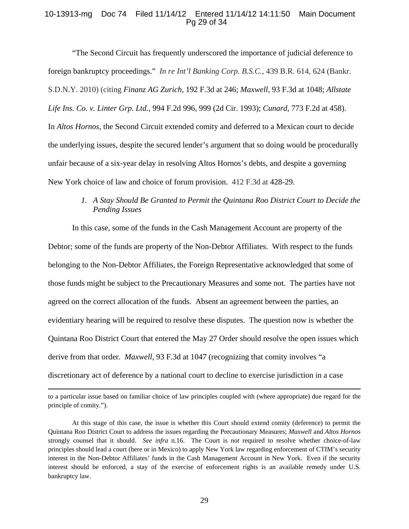# 10-13913-mg Doc 74 Filed 11/14/12 Entered 11/14/12 14:11:50 Main Document Pg 29 of 34

"The Second Circuit has frequently underscored the importance of judicial deference to foreign bankruptcy proceedings." *In re Int'l Banking Corp. B.S.C.,* 439 B.R. 614, 624 (Bankr. S.D.N.Y. 2010) (citing *Finanz AG Zurich,* 192 F.3d at 246; *Maxwell*, 93 F.3d at 1048; *Allstate Life Ins. Co. v. Linter Grp. Ltd.,* 994 F.2d 996, 999 (2d Cir. 1993); *Cunard,* 773 F.2d at 458). In *Altos Hornos*, the Second Circuit extended comity and deferred to a Mexican court to decide the underlying issues, despite the secured lender's argument that so doing would be procedurally unfair because of a six-year delay in resolving Altos Hornos's debts, and despite a governing New York choice of law and choice of forum provision. 412 F.3d at 428-29.

# *1. A Stay Should Be Granted to Permit the Quintana Roo District Court to Decide the Pending Issues*

In this case, some of the funds in the Cash Management Account are property of the Debtor; some of the funds are property of the Non-Debtor Affiliates. With respect to the funds belonging to the Non-Debtor Affiliates, the Foreign Representative acknowledged that some of those funds might be subject to the Precautionary Measures and some not. The parties have not agreed on the correct allocation of the funds. Absent an agreement between the parties, an evidentiary hearing will be required to resolve these disputes. The question now is whether the Quintana Roo District Court that entered the May 27 Order should resolve the open issues which derive from that order. *Maxwell*, 93 F.3d at 1047 (recognizing that comity involves "a discretionary act of deference by a national court to decline to exercise jurisdiction in a case

<u> 1989 - Johann Stein, marwolaethau a gweledydd a ganlad y ganlad y ganlad y ganlad y ganlad y ganlad y ganlad</u> to a particular issue based on familiar choice of law principles coupled with (where appropriate) due regard for the principle of comity.").

At this stage of this case, the issue is whether this Court should extend comity (deference) to permit the Quintana Roo District Court to address the issues regarding the Precautionary Measures; *Maxwell* and *Altos Hornos* strongly counsel that it should. *See infra* n.16. The Court is *not* required to resolve whether choice-of-law principles should lead a court (here or in Mexico) to apply New York law regarding enforcement of CTIM's security interest in the Non-Debtor Affiliates' funds in the Cash Management Account in New York. Even if the security interest should be enforced, a stay of the exercise of enforcement rights is an available remedy under U.S. bankruptcy law.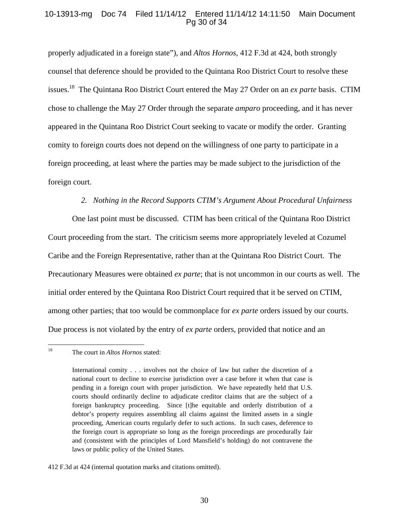# 10-13913-mg Doc 74 Filed 11/14/12 Entered 11/14/12 14:11:50 Main Document Pg 30 of 34

properly adjudicated in a foreign state"), and *Altos Hornos*, 412 F.3d at 424, both strongly counsel that deference should be provided to the Quintana Roo District Court to resolve these issues.18 The Quintana Roo District Court entered the May 27 Order on an *ex parte* basis. CTIM chose to challenge the May 27 Order through the separate *amparo* proceeding, and it has never appeared in the Quintana Roo District Court seeking to vacate or modify the order. Granting comity to foreign courts does not depend on the willingness of one party to participate in a foreign proceeding, at least where the parties may be made subject to the jurisdiction of the foreign court.

## *2. Nothing in the Record Supports CTIM's Argument About Procedural Unfairness*

One last point must be discussed. CTIM has been critical of the Quintana Roo District Court proceeding from the start. The criticism seems more appropriately leveled at Cozumel Caribe and the Foreign Representative, rather than at the Quintana Roo District Court. The Precautionary Measures were obtained *ex parte*; that is not uncommon in our courts as well. The initial order entered by the Quintana Roo District Court required that it be served on CTIM, among other parties; that too would be commonplace for *ex parte* orders issued by our courts. Due process is not violated by the entry of *ex parte* orders, provided that notice and an

<sup>18</sup> The court in *Altos Hornos* stated:

International comity . . . involves not the choice of law but rather the discretion of a national court to decline to exercise jurisdiction over a case before it when that case is pending in a foreign court with proper jurisdiction. We have repeatedly held that U.S. courts should ordinarily decline to adjudicate creditor claims that are the subject of a foreign bankruptcy proceeding. Since [t]he equitable and orderly distribution of a debtor's property requires assembling all claims against the limited assets in a single proceeding, American courts regularly defer to such actions. In such cases, deference to the foreign court is appropriate so long as the foreign proceedings are procedurally fair and (consistent with the principles of Lord Mansfield's holding) do not contravene the laws or public policy of the United States.

<sup>412</sup> F.3d at 424 (internal quotation marks and citations omitted).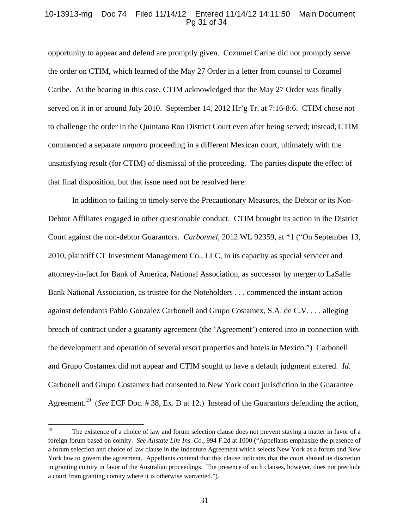# 10-13913-mg Doc 74 Filed 11/14/12 Entered 11/14/12 14:11:50 Main Document Pg 31 of 34

opportunity to appear and defend are promptly given. Cozumel Caribe did not promptly serve the order on CTIM, which learned of the May 27 Order in a letter from counsel to Cozumel Caribe. At the hearing in this case, CTIM acknowledged that the May 27 Order was finally served on it in or around July 2010. September 14, 2012 Hr'g Tr. at 7:16-8:6. CTIM chose not to challenge the order in the Quintana Roo District Court even after being served; instead, CTIM commenced a separate *amparo* proceeding in a different Mexican court, ultimately with the unsatisfying result (for CTIM) of dismissal of the proceeding. The parties dispute the effect of that final disposition, but that issue need not be resolved here.

In addition to failing to timely serve the Precautionary Measures, the Debtor or its Non-Debtor Affiliates engaged in other questionable conduct. CTIM brought its action in the District Court against the non-debtor Guarantors. *Carbonnel*, 2012 WL 92359, at \*1 ("On September 13, 2010, plaintiff CT Investment Management Co., LLC, in its capacity as special servicer and attorney-in-fact for Bank of America, National Association, as successor by merger to LaSalle Bank National Association, as trustee for the Noteholders . . . commenced the instant action against defendants Pablo Gonzalez Carbonell and Grupo Costamex, S.A. de C.V. . . . alleging breach of contract under a guaranty agreement (the 'Agreement') entered into in connection with the development and operation of several resort properties and hotels in Mexico.") Carbonell and Grupo Costamex did not appear and CTIM sought to have a default judgment entered. *Id.*  Carbonell and Grupo Costamex had consented to New York court jurisdiction in the Guarantee Agreement.19 (*See* ECF Doc. # 38, Ex. D at 12.) Instead of the Guarantors defending the action,

<sup>&</sup>lt;sup>19</sup> The existence of a choice of law and forum selection clause does not prevent staying a matter in favor of a foreign forum based on comity. *See Allstate Life Ins. Co.,* 994 F.2d at 1000 ("Appellants emphasize the presence of a forum selection and choice of law clause in the Indenture Agreement which selects New York as a forum and New York law to govern the agreement. Appellants contend that this clause indicates that the court abused its discretion in granting comity in favor of the Australian proceedings. The presence of such clauses, however, does not preclude a court from granting comity where it is otherwise warranted.").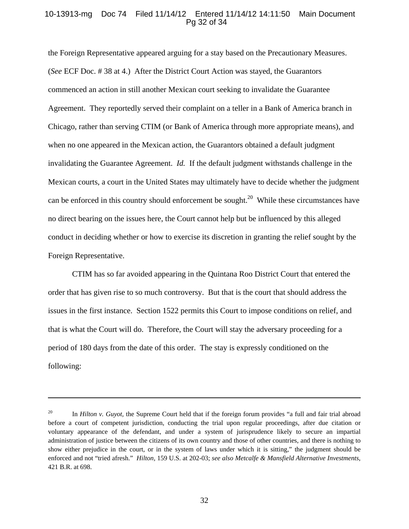## 10-13913-mg Doc 74 Filed 11/14/12 Entered 11/14/12 14:11:50 Main Document Pg 32 of 34

the Foreign Representative appeared arguing for a stay based on the Precautionary Measures. (*See* ECF Doc. # 38 at 4.) After the District Court Action was stayed, the Guarantors commenced an action in still another Mexican court seeking to invalidate the Guarantee Agreement. They reportedly served their complaint on a teller in a Bank of America branch in Chicago, rather than serving CTIM (or Bank of America through more appropriate means), and when no one appeared in the Mexican action, the Guarantors obtained a default judgment invalidating the Guarantee Agreement. *Id.* If the default judgment withstands challenge in the Mexican courts, a court in the United States may ultimately have to decide whether the judgment can be enforced in this country should enforcement be sought.<sup>20</sup> While these circumstances have no direct bearing on the issues here, the Court cannot help but be influenced by this alleged conduct in deciding whether or how to exercise its discretion in granting the relief sought by the Foreign Representative.

CTIM has so far avoided appearing in the Quintana Roo District Court that entered the order that has given rise to so much controversy. But that is the court that should address the issues in the first instance. Section 1522 permits this Court to impose conditions on relief, and that is what the Court will do. Therefore, the Court will stay the adversary proceeding for a period of 180 days from the date of this order. The stay is expressly conditioned on the following:

<u> 1989 - Johann Stoff, amerikansk politiker (d. 1989)</u>

<sup>&</sup>lt;sup>20</sup> In *Hilton v. Guyot*, the Supreme Court held that if the foreign forum provides "a full and fair trial abroad before a court of competent jurisdiction, conducting the trial upon regular proceedings, after due citation or voluntary appearance of the defendant, and under a system of jurisprudence likely to secure an impartial administration of justice between the citizens of its own country and those of other countries, and there is nothing to show either prejudice in the court, or in the system of laws under which it is sitting," the judgment should be enforced and not "tried afresh." *Hilton,* 159 U.S. at 202-03; *see also Metcalfe & Mansfield Alternative Investments*, 421 B.R. at 698.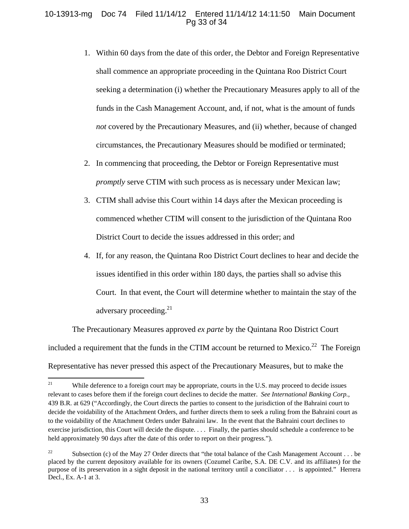# 10-13913-mg Doc 74 Filed 11/14/12 Entered 11/14/12 14:11:50 Main Document Pg 33 of 34

- 1. Within 60 days from the date of this order, the Debtor and Foreign Representative shall commence an appropriate proceeding in the Quintana Roo District Court seeking a determination (i) whether the Precautionary Measures apply to all of the funds in the Cash Management Account, and, if not, what is the amount of funds *not* covered by the Precautionary Measures, and (ii) whether, because of changed circumstances, the Precautionary Measures should be modified or terminated;
- 2. In commencing that proceeding, the Debtor or Foreign Representative must *promptly* serve CTIM with such process as is necessary under Mexican law;
- 3. CTIM shall advise this Court within 14 days after the Mexican proceeding is commenced whether CTIM will consent to the jurisdiction of the Quintana Roo District Court to decide the issues addressed in this order; and
- 4. If, for any reason, the Quintana Roo District Court declines to hear and decide the issues identified in this order within 180 days, the parties shall so advise this Court. In that event, the Court will determine whether to maintain the stay of the adversary proceeding.<sup>21</sup>

The Precautionary Measures approved *ex parte* by the Quintana Roo District Court included a requirement that the funds in the CTIM account be returned to Mexico.<sup>22</sup> The Foreign Representative has never pressed this aspect of the Precautionary Measures, but to make the

<sup>&</sup>lt;sup>21</sup> While deference to a foreign court may be appropriate, courts in the U.S. may proceed to decide issues relevant to cases before them if the foreign court declines to decide the matter. *See International Banking Corp.*, 439 B.R. at 629 ("Accordingly, the Court directs the parties to consent to the jurisdiction of the Bahraini court to decide the voidability of the Attachment Orders, and further directs them to seek a ruling from the Bahraini court as to the voidability of the Attachment Orders under Bahraini law. In the event that the Bahraini court declines to exercise jurisdiction, this Court will decide the dispute. . . . Finally, the parties should schedule a conference to be held approximately 90 days after the date of this order to report on their progress.").

<sup>&</sup>lt;sup>22</sup> Subsection (c) of the May 27 Order directs that "the total balance of the Cash Management Account . . . be placed by the current depository available for its owners (Cozumel Caribe, S.A. DE C.V. and its affiliates) for the purpose of its preservation in a sight deposit in the national territory until a conciliator . . . is appointed." Herrera Decl., Ex. A-1 at 3.